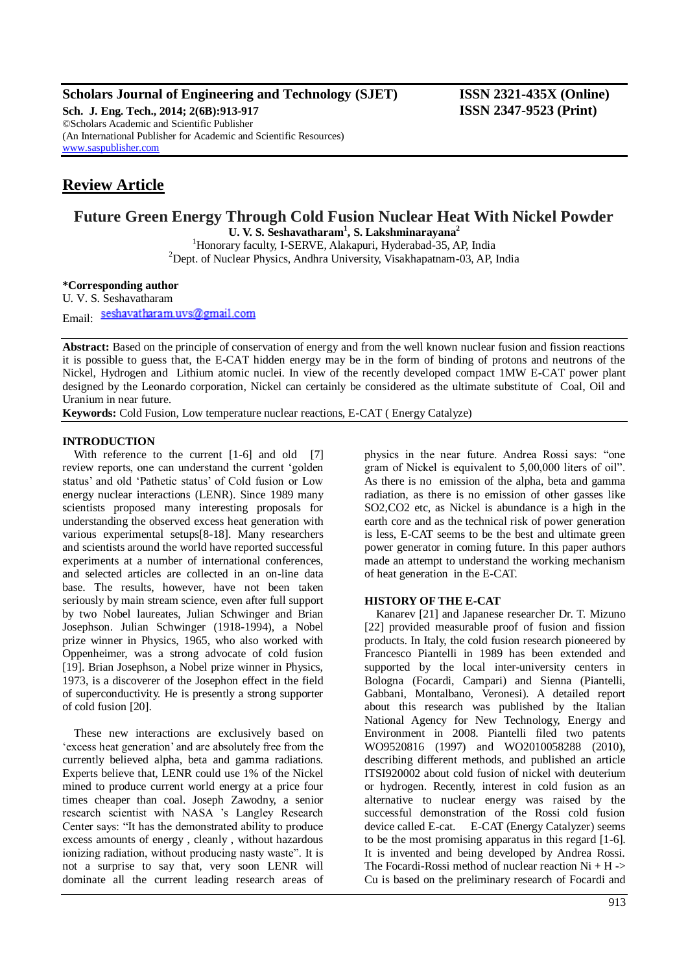## **Scholars Journal of Engineering and Technology (SJET) ISSN 2321-435X (Online)**

**Sch. J. Eng. Tech., 2014; 2(6B):913-917 ISSN 2347-9523 (Print)** ©Scholars Academic and Scientific Publisher (An International Publisher for Academic and Scientific Resources) [www.saspublisher.com](http://www.saspublisher.com/)

# **Review Article**

## **Future Green Energy Through Cold Fusion Nuclear Heat With Nickel Powder**

**U. V. S. Seshavatharam<sup>1</sup> , S. Lakshminarayana<sup>2</sup>** <sup>1</sup>Honorary faculty, I-SERVE, Alakapuri, Hyderabad-35, AP, India  $2$ Dept. of Nuclear Physics, Andhra University, Visakhapatnam-03, AP, India

## **\*Corresponding author**

U. V. S. Seshavatharam Email: seshavatharam.uvs@gmail.com

**Abstract:** Based on the principle of conservation of energy and from the well known nuclear fusion and fission reactions it is possible to guess that, the E-CAT hidden energy may be in the form of binding of protons and neutrons of the Nickel, Hydrogen and Lithium atomic nuclei. In view of the recently developed compact 1MW E-CAT power plant designed by the Leonardo corporation, Nickel can certainly be considered as the ultimate substitute of Coal, Oil and Uranium in near future.

**Keywords:** Cold Fusion, Low temperature nuclear reactions, E-CAT ( Energy Catalyze)

## **INTRODUCTION**

With reference to the current [1-6] and old [7] review reports, one can understand the current "golden status" and old "Pathetic status" of Cold fusion or Low energy nuclear interactions (LENR). Since 1989 many scientists proposed many interesting proposals for understanding the observed excess heat generation with various experimental setups[8-18]. Many researchers and scientists around the world have reported successful experiments at a number of international conferences, and selected articles are collected in an on-line data base. The results, however, have not been taken seriously by main stream science, even after full support by two Nobel laureates, Julian Schwinger and Brian Josephson. Julian Schwinger (1918-1994), a Nobel prize winner in Physics, 1965, who also worked with Oppenheimer, was a strong advocate of cold fusion [19]. Brian Josephson, a Nobel prize winner in Physics, 1973, is a discoverer of the Josephon effect in the field of superconductivity. He is presently a strong supporter of cold fusion [20].

These new interactions are exclusively based on "excess heat generation" and are absolutely free from the currently believed alpha, beta and gamma radiations. Experts believe that, LENR could use 1% of the Nickel mined to produce current world energy at a price four times cheaper than coal. Joseph Zawodny, a senior research scientist with NASA "s Langley Research Center says: "It has the demonstrated ability to produce excess amounts of energy , cleanly , without hazardous ionizing radiation, without producing nasty waste". It is not a surprise to say that, very soon LENR will dominate all the current leading research areas of

physics in the near future. Andrea Rossi says: "one gram of Nickel is equivalent to 5,00,000 liters of oil". As there is no emission of the alpha, beta and gamma radiation, as there is no emission of other gasses like SO2,CO2 etc, as Nickel is abundance is a high in the earth core and as the technical risk of power generation is less, E-CAT seems to be the best and ultimate green power generator in coming future. In this paper authors made an attempt to understand the working mechanism of heat generation in the E-CAT.

## **HISTORY OF THE E-CAT**

Kanarev [21] and Japanese researcher Dr. T. Mizuno [22] provided measurable proof of fusion and fission products. In Italy, the cold fusion research pioneered by Francesco Piantelli in 1989 has been extended and supported by the local inter-university centers in Bologna (Focardi, Campari) and Sienna (Piantelli, Gabbani, Montalbano, Veronesi). A detailed report about this research was published by the Italian National Agency for New Technology, Energy and Environment in 2008. Piantelli filed two patents WO9520816 (1997) and WO2010058288 (2010), describing different methods, and published an article ITSI920002 about cold fusion of nickel with deuterium or hydrogen. Recently, interest in cold fusion as an alternative to nuclear energy was raised by the successful demonstration of the Rossi cold fusion device called E-cat. E-CAT (Energy Catalyzer) seems to be the most promising apparatus in this regard [1-6]. It is invented and being developed by Andrea Rossi. The Focardi-Rossi method of nuclear reaction  $Ni + H \rightarrow$ Cu is based on the preliminary research of Focardi and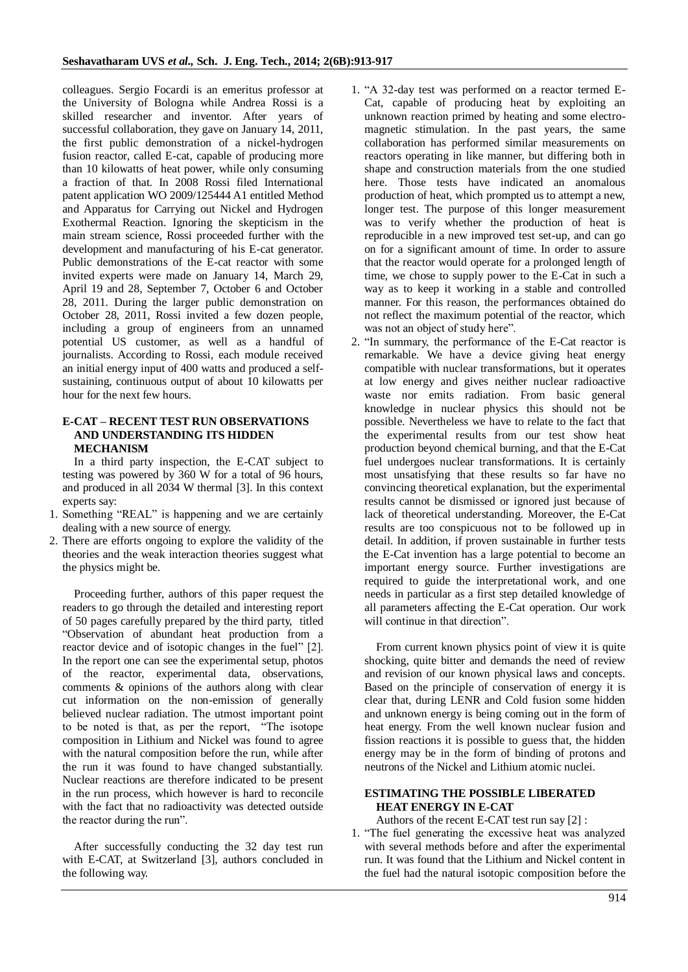colleagues. Sergio Focardi is an emeritus professor at the University of Bologna while Andrea Rossi is a skilled researcher and inventor. After years of successful collaboration, they gave on January 14, 2011, the first public demonstration of a nickel-hydrogen fusion reactor, called E-cat, capable of producing more than 10 kilowatts of heat power, while only consuming a fraction of that. In 2008 Rossi filed International patent application WO 2009/125444 A1 entitled Method and Apparatus for Carrying out Nickel and Hydrogen Exothermal Reaction. Ignoring the skepticism in the main stream science, Rossi proceeded further with the development and manufacturing of his E-cat generator. Public demonstrations of the E-cat reactor with some invited experts were made on January 14, March 29, April 19 and 28, September 7, October 6 and October 28, 2011. During the larger public demonstration on October 28, 2011, Rossi invited a few dozen people, including a group of engineers from an unnamed potential US customer, as well as a handful of journalists. According to Rossi, each module received an initial energy input of 400 watts and produced a selfsustaining, continuous output of about 10 kilowatts per hour for the next few hours.

## **E-CAT – RECENT TEST RUN OBSERVATIONS AND UNDERSTANDING ITS HIDDEN MECHANISM**

In a third party inspection, the E-CAT subject to testing was powered by 360 W for a total of 96 hours, and produced in all 2034 W thermal [3]. In this context experts say:

- 1. Something "REAL" is happening and we are certainly dealing with a new source of energy.
- 2. There are efforts ongoing to explore the validity of the theories and the weak interaction theories suggest what the physics might be.

Proceeding further, authors of this paper request the readers to go through the detailed and interesting report of 50 pages carefully prepared by the third party, titled "Observation of abundant heat production from a reactor device and of isotopic changes in the fuel" [2]. In the report one can see the experimental setup, photos of the reactor, experimental data, observations, comments & opinions of the authors along with clear cut information on the non-emission of generally believed nuclear radiation. The utmost important point to be noted is that, as per the report, "The isotope composition in Lithium and Nickel was found to agree with the natural composition before the run, while after the run it was found to have changed substantially. Nuclear reactions are therefore indicated to be present in the run process, which however is hard to reconcile with the fact that no radioactivity was detected outside the reactor during the run".

After successfully conducting the 32 day test run with E-CAT, at Switzerland [3], authors concluded in the following way.

- 1. "A 32-day test was performed on a reactor termed E-Cat, capable of producing heat by exploiting an unknown reaction primed by heating and some electromagnetic stimulation. In the past years, the same collaboration has performed similar measurements on reactors operating in like manner, but differing both in shape and construction materials from the one studied here. Those tests have indicated an anomalous production of heat, which prompted us to attempt a new, longer test. The purpose of this longer measurement was to verify whether the production of heat is reproducible in a new improved test set-up, and can go on for a significant amount of time. In order to assure that the reactor would operate for a prolonged length of time, we chose to supply power to the E-Cat in such a way as to keep it working in a stable and controlled manner. For this reason, the performances obtained do not reflect the maximum potential of the reactor, which was not an object of study here".
- 2. "In summary, the performance of the E-Cat reactor is remarkable. We have a device giving heat energy compatible with nuclear transformations, but it operates at low energy and gives neither nuclear radioactive waste nor emits radiation. From basic general knowledge in nuclear physics this should not be possible. Nevertheless we have to relate to the fact that the experimental results from our test show heat production beyond chemical burning, and that the E-Cat fuel undergoes nuclear transformations. It is certainly most unsatisfying that these results so far have no convincing theoretical explanation, but the experimental results cannot be dismissed or ignored just because of lack of theoretical understanding. Moreover, the E-Cat results are too conspicuous not to be followed up in detail. In addition, if proven sustainable in further tests the E-Cat invention has a large potential to become an important energy source. Further investigations are required to guide the interpretational work, and one needs in particular as a first step detailed knowledge of all parameters affecting the E-Cat operation. Our work will continue in that direction".

From current known physics point of view it is quite shocking, quite bitter and demands the need of review and revision of our known physical laws and concepts. Based on the principle of conservation of energy it is clear that, during LENR and Cold fusion some hidden and unknown energy is being coming out in the form of heat energy. From the well known nuclear fusion and fission reactions it is possible to guess that, the hidden energy may be in the form of binding of protons and neutrons of the Nickel and Lithium atomic nuclei.

## **ESTIMATING THE POSSIBLE LIBERATED HEAT ENERGY IN E-CAT**

Authors of the recent E-CAT test run say [2] :

1. "The fuel generating the excessive heat was analyzed with several methods before and after the experimental run. It was found that the Lithium and Nickel content in the fuel had the natural isotopic composition before the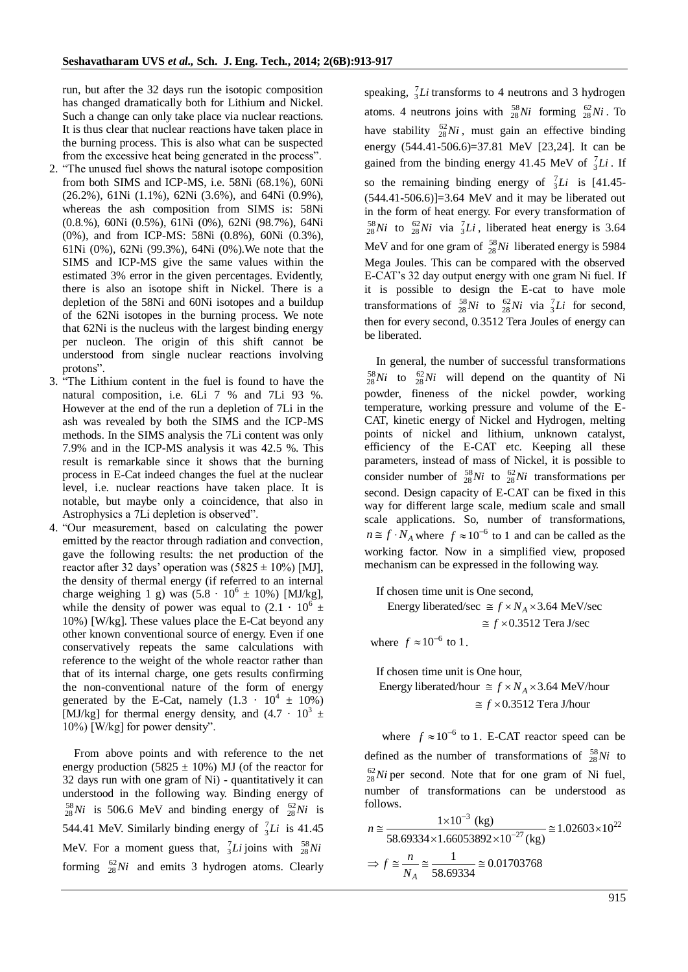run, but after the 32 days run the isotopic composition has changed dramatically both for Lithium and Nickel. Such a change can only take place via nuclear reactions. It is thus clear that nuclear reactions have taken place in the burning process. This is also what can be suspected from the excessive heat being generated in the process".

- 2. "The unused fuel shows the natural isotope composition from both SIMS and ICP-MS, i.e. 58Ni (68.1%), 60Ni (26.2%), 61Ni (1.1%), 62Ni (3.6%), and 64Ni (0.9%), whereas the ash composition from SIMS is: 58Ni (0.8.%), 60Ni (0.5%), 61Ni (0%), 62Ni (98.7%), 64Ni (0%), and from ICP-MS: 58Ni (0.8%), 60Ni (0.3%), 61Ni (0%), 62Ni (99.3%), 64Ni (0%).We note that the SIMS and ICP-MS give the same values within the estimated 3% error in the given percentages. Evidently, there is also an isotope shift in Nickel. There is a depletion of the 58Ni and 60Ni isotopes and a buildup of the 62Ni isotopes in the burning process. We note that 62Ni is the nucleus with the largest binding energy per nucleon. The origin of this shift cannot be understood from single nuclear reactions involving protons".
- 3. "The Lithium content in the fuel is found to have the natural composition, i.e. 6Li 7 % and 7Li 93 %. However at the end of the run a depletion of 7Li in the ash was revealed by both the SIMS and the ICP-MS methods. In the SIMS analysis the 7Li content was only 7.9% and in the ICP-MS analysis it was 42.5 %. This result is remarkable since it shows that the burning process in E-Cat indeed changes the fuel at the nuclear level, i.e. nuclear reactions have taken place. It is notable, but maybe only a coincidence, that also in Astrophysics a 7Li depletion is observed".
- 4. "Our measurement, based on calculating the power emitted by the reactor through radiation and convection, gave the following results: the net production of the reactor after 32 days' operation was  $(5825 \pm 10\%)$  [MJ], the density of thermal energy (if referred to an internal charge weighing 1 g) was  $(5.8 \cdot 10^6 \pm 10\%)$  [MJ/kg], while the density of power was equal to  $(2.1 \cdot 10^6 \pm ...)$ 10%) [W/kg]. These values place the E-Cat beyond any other known conventional source of energy. Even if one conservatively repeats the same calculations with reference to the weight of the whole reactor rather than that of its internal charge, one gets results confirming the non-conventional nature of the form of energy generated by the E-Cat, namely  $(1.3 \cdot 10^4 \pm 10\%)$ [MJ/kg] for thermal energy density, and  $(4.7 \cdot 10^3 \pm 1)$ 10%) [W/kg] for power density".

From above points and with reference to the net energy production (5825  $\pm$  10%) MJ (of the reactor for 32 days run with one gram of Ni) - quantitatively it can understood in the following way. Binding energy of  $^{58}_{28}Ni$  is 506.6 MeV and binding energy of  $^{62}_{28}Ni$  is 544.41 MeV. Similarly binding energy of  $\frac{7}{3}Li$  is 41.45 MeV. For a moment guess that,  ${}_{3}^{7}Li$  joins with  ${}_{28}^{58}Ni$ forming  $^{62}_{28}Ni$  and emits 3 hydrogen atoms. Clearly speaking, 7 <sup>3</sup>*Li* transforms to 4 neutrons and 3 hydrogen atoms. 4 neutrons joins with  $\frac{58}{28}Ni$  forming  $\frac{62}{28}Ni$ . To have stability  $^{62}_{28}Ni$ , must gain an effective binding energy (544.41-506.6)=37.81 MeV [23,24]. It can be gained from the binding energy 41.45 MeV of  ${}_{3}^{7}Li$ . If so the remaining binding energy of  $\frac{7}{3}Li$  is [41.45- $(544.41-506.6)$ ]=3.64 MeV and it may be liberated out in the form of heat energy. For every transformation of  $^{58}_{28}Ni$  to  $^{62}_{28}Ni$  via  $^{7}_{3}Li$ , liberated heat energy is 3.64 MeV and for one gram of  $^{58}_{28}Ni$  liberated energy is 5984 Mega Joules. This can be compared with the observed E-CAT"s 32 day output energy with one gram Ni fuel. If it is possible to design the E-cat to have mole transformations of  $^{58}_{28}Ni$  to  $^{62}_{28}Ni$  via  $^{7}_{3}Li$  for second, then for every second, 0.3512 Tera Joules of energy can be liberated.

In general, the number of successful transformations  $^{58}_{28}Ni$  to  $^{62}_{28}Ni$  will depend on the quantity of Ni powder, fineness of the nickel powder, working temperature, working pressure and volume of the E-CAT, kinetic energy of Nickel and Hydrogen, melting points of nickel and lithium, unknown catalyst, efficiency of the E-CAT etc. Keeping all these parameters, instead of mass of Nickel, it is possible to consider number of  $^{58}_{28}Ni$  to  $^{62}_{28}Ni$  transformations per second. Design capacity of E-CAT can be fixed in this way for different large scale, medium scale and small scale applications. So, number of transformations,  $n \approx f \cdot N_A$  where  $f \approx 10^{-6}$  to 1 and can be called as the working factor. Now in a simplified view, proposed mechanism can be expressed in the following way.

If chosen time unit is One second, chosen time unit is One second,<br>Energy liberated/sec  $\cong f \times N_A \times 3.64$  MeV/sec Energy liberated/sec  $\cong f \times N_A \times 3.64$  MeV/s<br> $\cong f \times 0.3512$  Tera J/sec where  $f \approx 10^{-6}$  to 1.

If chosen time unit is One hour, Fraction change in the unit is One hour,<br>Energy liberated/hour  $\approx f \times N_A \times 3.64$  MeV/hour  $\approx f \times 0.3512$  Tera J/hour  $\text{or } f \cong f \times N_A$ <br> $\cong f \times 0.351$ 

where  $f \approx 10^{-6}$  to 1. E-CAT reactor speed can be defined as the number of transformations of  $\frac{58}{28}Ni$  to  $^{62}_{28}Ni$  per second. Note that for one gram of Ni fuel, number of transformations can be understood as follows.

follows.  
\n
$$
n \approx \frac{1 \times 10^{-3} \text{ (kg)}}{58.69334 \times 1.66053892 \times 10^{-27} \text{ (kg)}} \approx 1.02603 \times 10^{22}
$$
\n
$$
\Rightarrow f \approx \frac{n}{N_A} \approx \frac{1}{58.69334} \approx 0.01703768
$$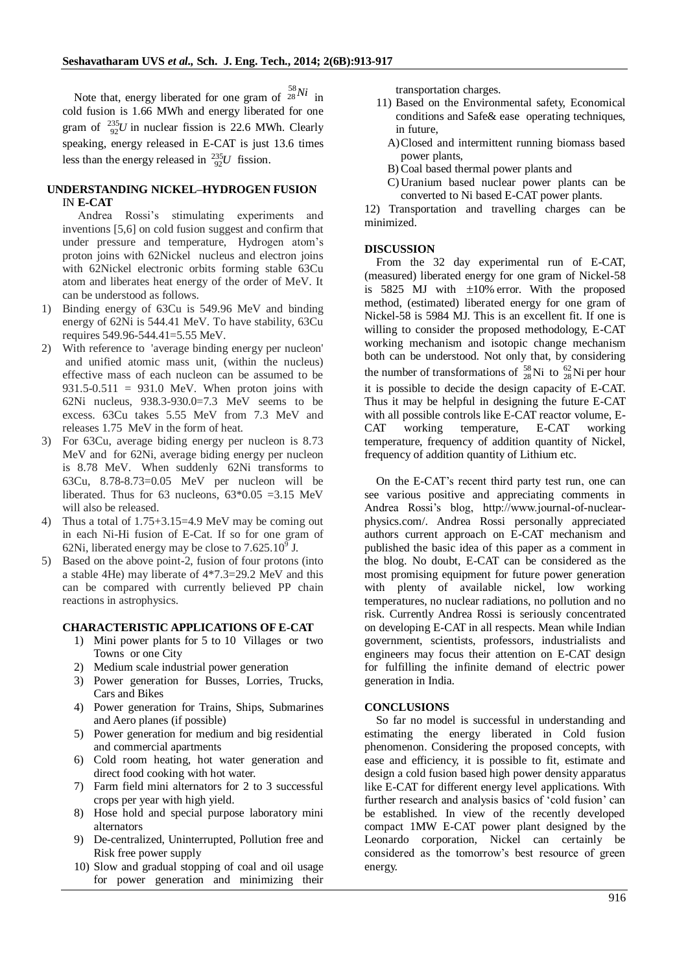Note that, energy liberated for one gram of <sup>58</sup><sub>28</sub>*Ni* in cold fusion is 1.66 MWh and energy liberated for one gram of  $^{235}_{92}U$  in nuclear fission is 22.6 MWh. Clearly speaking, energy released in E-CAT is just 13.6 times less than the energy released in  $^{235}_{92}U$  fission.

## **UNDERSTANDING NICKEL–HYDROGEN FUSION** IN **E-CAT**

Andrea Rossi"s stimulating experiments and inventions [5,6] on cold fusion suggest and confirm that under pressure and temperature, Hydrogen atom"s proton joins with 62Nickel nucleus and electron joins with 62Nickel electronic orbits forming stable 63Cu atom and liberates heat energy of the order of MeV. It can be understood as follows.

- 1) Binding energy of 63Cu is 549.96 MeV and binding energy of 62Ni is 544.41 MeV. To have stability, 63Cu requires 549.96-544.41=5.55 MeV.
- 2) With reference to 'average binding energy per nucleon' and unified atomic mass unit, (within the nucleus) effective mass of each nucleon can be assumed to be  $931.5-0.511 = 931.0$  MeV. When proton joins with 62Ni nucleus, 938.3-930.0=7.3 MeV seems to be excess. 63Cu takes 5.55 MeV from 7.3 MeV and releases 1.75 MeV in the form of heat.
- 3) For 63Cu, average biding energy per nucleon is 8.73 MeV and for 62Ni, average biding energy per nucleon is 8.78 MeV. When suddenly 62Ni transforms to 63Cu, 8.78-8.73=0.05 MeV per nucleon will be liberated. Thus for 63 nucleons,  $63*0.05 = 3.15$  MeV will also be released.
- 4) Thus a total of 1.75+3.15=4.9 MeV may be coming out in each Ni-Hi fusion of E-Cat. If so for one gram of 62Ni, liberated energy may be close to  $7.625.10^9$  J.
- 5) Based on the above point-2, fusion of four protons (into a stable 4He) may liberate of 4\*7.3=29.2 MeV and this can be compared with currently believed PP chain reactions in astrophysics.

## **CHARACTERISTIC APPLICATIONS OF E-CAT**

- 1) Mini power plants for 5 to 10 Villages or two Towns or one City
- 2) Medium scale industrial power generation
- 3) Power generation for Busses, Lorries, Trucks, Cars and Bikes
- 4) Power generation for Trains, Ships, Submarines and Aero planes (if possible)
- 5) Power generation for medium and big residential and commercial apartments
- 6) Cold room heating, hot water generation and direct food cooking with hot water.
- 7) Farm field mini alternators for 2 to 3 successful crops per year with high yield.
- 8) Hose hold and special purpose laboratory mini alternators
- 9) De-centralized, Uninterrupted, Pollution free and Risk free power supply
- 10) Slow and gradual stopping of coal and oil usage for power generation and minimizing their

transportation charges.

- 11) Based on the Environmental safety, Economical conditions and Safe& ease operating techniques, in future,
	- A)Closed and intermittent running biomass based power plants,
	- B) Coal based thermal power plants and
	- C)Uranium based nuclear power plants can be converted to Ni based E-CAT power plants.

12) Transportation and travelling charges can be minimized.

### **DISCUSSION**

From the 32 day experimental run of E-CAT, (measured) liberated energy for one gram of Nickel-58 is  $5825$  MJ with  $\pm 10\%$  error. With the proposed method, (estimated) liberated energy for one gram of Nickel-58 is 5984 MJ. This is an excellent fit. If one is willing to consider the proposed methodology, E-CAT working mechanism and isotopic change mechanism both can be understood. Not only that, by considering the number of transformations of  $\frac{58}{28}$ Ni to  $\frac{62}{28}$ Ni per hour it is possible to decide the design capacity of E-CAT. Thus it may be helpful in designing the future E-CAT with all possible controls like E-CAT reactor volume, E-CAT working temperature, E-CAT working temperature, frequency of addition quantity of Nickel, frequency of addition quantity of Lithium etc.

On the E-CAT"s recent third party test run, one can see various positive and appreciating comments in Andrea Rossi"s blog, http://www.journal-of-nuclearphysics.com/. Andrea Rossi personally appreciated authors current approach on E-CAT mechanism and published the basic idea of this paper as a comment in the blog. No doubt, E-CAT can be considered as the most promising equipment for future power generation with plenty of available nickel, low working temperatures, no nuclear radiations, no pollution and no risk. Currently Andrea Rossi is seriously concentrated on developing E-CAT in all respects. Mean while Indian government, scientists, professors, industrialists and engineers may focus their attention on E-CAT design for fulfilling the infinite demand of electric power generation in India.

### **CONCLUSIONS**

So far no model is successful in understanding and estimating the energy liberated in Cold fusion phenomenon. Considering the proposed concepts, with ease and efficiency, it is possible to fit, estimate and design a cold fusion based high power density apparatus like E-CAT for different energy level applications. With further research and analysis basics of 'cold fusion' can be established. In view of the recently developed compact 1MW E-CAT power plant designed by the Leonardo corporation, Nickel can certainly be considered as the tomorrow"s best resource of green energy.